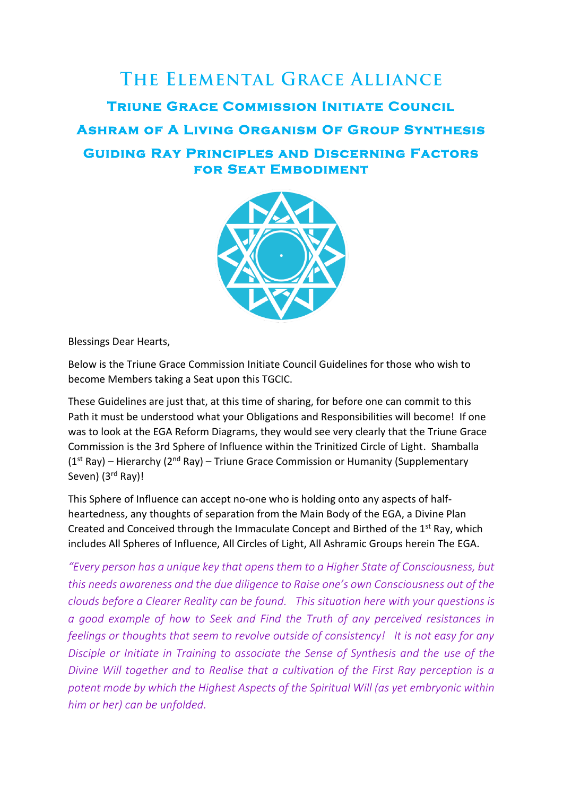



Blessings Dear Hearts,

Below is the Triune Grace Commission Initiate Council Guidelines for those who wish to become Members taking a Seat upon this TGCIC.

These Guidelines are just that, at this time of sharing, for before one can commit to this Path it must be understood what your Obligations and Responsibilities will become! If one was to look at the EGA Reform Diagrams, they would see very clearly that the Triune Grace Commission is the 3rd Sphere of Influence within the Trinitized Circle of Light. Shamballa  $(1<sup>st</sup> Ray)$  – Hierarchy  $(2<sup>nd</sup> Ray)$  – Triune Grace Commission or Humanity (Supplementary Seven) (3<sup>rd</sup> Ray)!

This Sphere of Influence can accept no-one who is holding onto any aspects of halfheartedness, any thoughts of separation from the Main Body of the EGA, a Divine Plan Created and Conceived through the Immaculate Concept and Birthed of the 1<sup>st</sup> Ray, which includes All Spheres of Influence, All Circles of Light, All Ashramic Groups herein The EGA.

*"Every person has a unique key that opens them to a Higher State of Consciousness, but this needs awareness and the due diligence to Raise one's own Consciousness out of the clouds before a Clearer Reality can be found. This situation here with your questions is a good example of how to Seek and Find the Truth of any perceived resistances in feelings or thoughts that seem to revolve outside of consistency! It is not easy for any Disciple or Initiate in Training to associate the Sense of Synthesis and the use of the Divine Will together and to Realise that a cultivation of the First Ray perception is a potent mode by which the Highest Aspects of the Spiritual Will (as yet embryonic within him or her) can be unfolded.*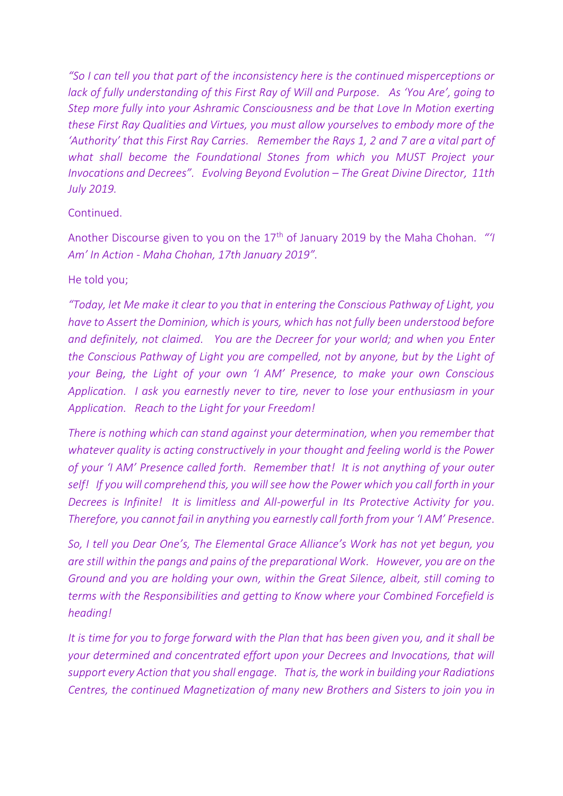*"So I can tell you that part of the inconsistency here is the continued misperceptions or lack of fully understanding of this First Ray of Will and Purpose. As 'You Are', going to Step more fully into your Ashramic Consciousness and be that Love In Motion exerting these First Ray Qualities and Virtues, you must allow yourselves to embody more of the 'Authority' that this First Ray Carries. Remember the Rays 1, 2 and 7 are a vital part of what shall become the Foundational Stones from which you MUST Project your Invocations and Decrees". Evolving Beyond Evolution – The Great Divine Director, 11th July 2019.*

# Continued.

Another Discourse given to you on the 17th of January 2019 by the Maha Chohan*. "'I Am' In Action - Maha Chohan, 17th January 2019".*

# He told you;

*"Today, let Me make it clear to you that in entering the Conscious Pathway of Light, you have to Assert the Dominion, which is yours, which has not fully been understood before and definitely, not claimed. You are the Decreer for your world; and when you Enter the Conscious Pathway of Light you are compelled, not by anyone, but by the Light of your Being, the Light of your own 'I AM' Presence, to make your own Conscious Application. I ask you earnestly never to tire, never to lose your enthusiasm in your Application. Reach to the Light for your Freedom!* 

*There is nothing which can stand against your determination, when you remember that whatever quality is acting constructively in your thought and feeling world is the Power of your 'I AM' Presence called forth. Remember that! It is not anything of your outer self! If you will comprehend this, you will see how the Power which you call forth in your Decrees is Infinite! It is limitless and All-powerful in Its Protective Activity for you. Therefore, you cannot fail in anything you earnestly call forth from your 'I AM' Presence.* 

*So, I tell you Dear One's, The Elemental Grace Alliance's Work has not yet begun, you are still within the pangs and pains of the preparational Work. However, you are on the Ground and you are holding your own, within the Great Silence, albeit, still coming to terms with the Responsibilities and getting to Know where your Combined Forcefield is heading!*

*It is time for you to forge forward with the Plan that has been given you, and it shall be your determined and concentrated effort upon your Decrees and Invocations, that will support every Action that you shall engage. That is, the work in building your Radiations Centres, the continued Magnetization of many new Brothers and Sisters to join you in*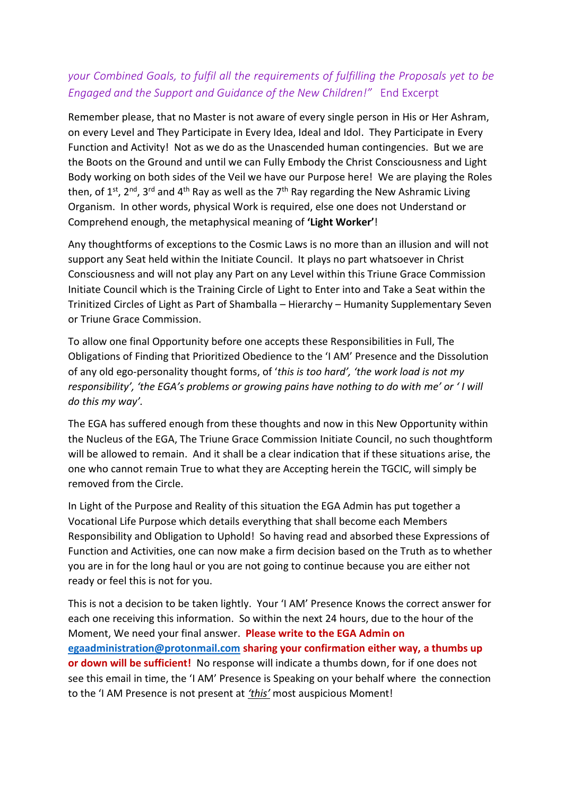# *your Combined Goals, to fulfil all the requirements of fulfilling the Proposals yet to be Engaged and the Support and Guidance of the New Children!"* End Excerpt

Remember please, that no Master is not aware of every single person in His or Her Ashram, on every Level and They Participate in Every Idea, Ideal and Idol. They Participate in Every Function and Activity! Not as we do as the Unascended human contingencies. But we are the Boots on the Ground and until we can Fully Embody the Christ Consciousness and Light Body working on both sides of the Veil we have our Purpose here! We are playing the Roles then, of  $1^{st}$ ,  $2^{nd}$ ,  $3^{rd}$  and  $4^{th}$  Ray as well as the  $7^{th}$  Ray regarding the New Ashramic Living Organism. In other words, physical Work is required, else one does not Understand or Comprehend enough, the metaphysical meaning of **'Light Worker'**!

Any thoughtforms of exceptions to the Cosmic Laws is no more than an illusion and will not support any Seat held within the Initiate Council. It plays no part whatsoever in Christ Consciousness and will not play any Part on any Level within this Triune Grace Commission Initiate Council which is the Training Circle of Light to Enter into and Take a Seat within the Trinitized Circles of Light as Part of Shamballa – Hierarchy – Humanity Supplementary Seven or Triune Grace Commission.

To allow one final Opportunity before one accepts these Responsibilities in Full, The Obligations of Finding that Prioritized Obedience to the 'I AM' Presence and the Dissolution of any old ego-personality thought forms, of '*this is too hard', 'the work load is not my responsibility', 'the EGA's problems or growing pains have nothing to do with me' or ' I will do this my way'.*

The EGA has suffered enough from these thoughts and now in this New Opportunity within the Nucleus of the EGA, The Triune Grace Commission Initiate Council, no such thoughtform will be allowed to remain. And it shall be a clear indication that if these situations arise, the one who cannot remain True to what they are Accepting herein the TGCIC, will simply be removed from the Circle.

In Light of the Purpose and Reality of this situation the EGA Admin has put together a Vocational Life Purpose which details everything that shall become each Members Responsibility and Obligation to Uphold! So having read and absorbed these Expressions of Function and Activities, one can now make a firm decision based on the Truth as to whether you are in for the long haul or you are not going to continue because you are either not ready or feel this is not for you.

This is not a decision to be taken lightly. Your 'I AM' Presence Knows the correct answer for each one receiving this information. So within the next 24 hours, due to the hour of the Moment, We need your final answer. **Please write to the EGA Admin on [egaadministration@protonmail.com](mailto:egaadministration@protonmail.com) sharing your confirmation either way, a thumbs up or down will be sufficient!** No response will indicate a thumbs down, for if one does not see this email in time, the 'I AM' Presence is Speaking on your behalf where the connection to the 'I AM Presence is not present at *'this'* most auspicious Moment!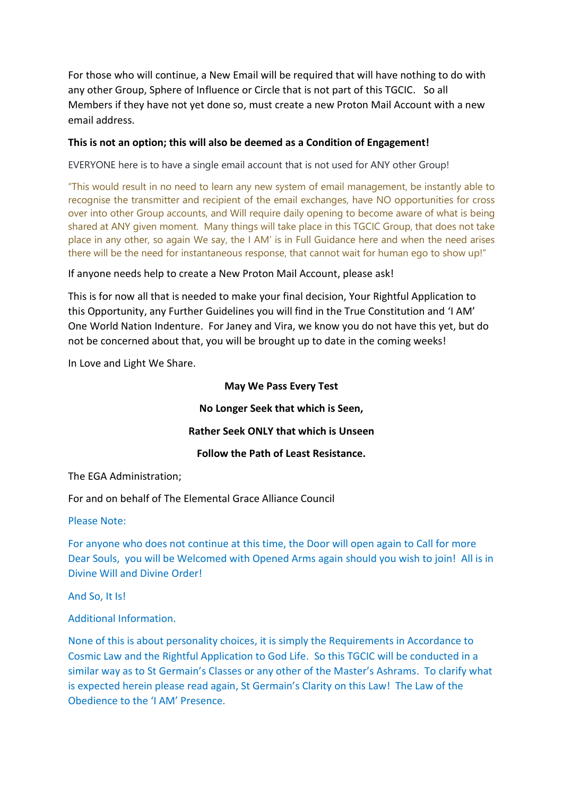For those who will continue, a New Email will be required that will have nothing to do with any other Group, Sphere of Influence or Circle that is not part of this TGCIC. So all Members if they have not yet done so, must create a new Proton Mail Account with a new email address.

## **This is not an option; this will also be deemed as a Condition of Engagement!**

EVERYONE here is to have a single email account that is not used for ANY other Group!

"This would result in no need to learn any new system of email management, be instantly able to recognise the transmitter and recipient of the email exchanges, have NO opportunities for cross over into other Group accounts, and Will require daily opening to become aware of what is being shared at ANY given moment. Many things will take place in this TGCIC Group, that does not take place in any other, so again We say, the I AM' is in Full Guidance here and when the need arises there will be the need for instantaneous response, that cannot wait for human ego to show up!"

If anyone needs help to create a New Proton Mail Account, please ask!

This is for now all that is needed to make your final decision, Your Rightful Application to this Opportunity, any Further Guidelines you will find in the True Constitution and 'I AM' One World Nation Indenture. For Janey and Vira, we know you do not have this yet, but do not be concerned about that, you will be brought up to date in the coming weeks!

In Love and Light We Share.

## **May We Pass Every Test**

**No Longer Seek that which is Seen,**

### **Rather Seek ONLY that which is Unseen**

**Follow the Path of Least Resistance.**

The EGA Administration;

For and on behalf of The Elemental Grace Alliance Council

#### Please Note:

For anyone who does not continue at this time, the Door will open again to Call for more Dear Souls, you will be Welcomed with Opened Arms again should you wish to join! All is in Divine Will and Divine Order!

And So, It Is!

Additional Information.

None of this is about personality choices, it is simply the Requirements in Accordance to Cosmic Law and the Rightful Application to God Life. So this TGCIC will be conducted in a similar way as to St Germain's Classes or any other of the Master's Ashrams. To clarify what is expected herein please read again, St Germain's Clarity on this Law! The Law of the Obedience to the 'I AM' Presence.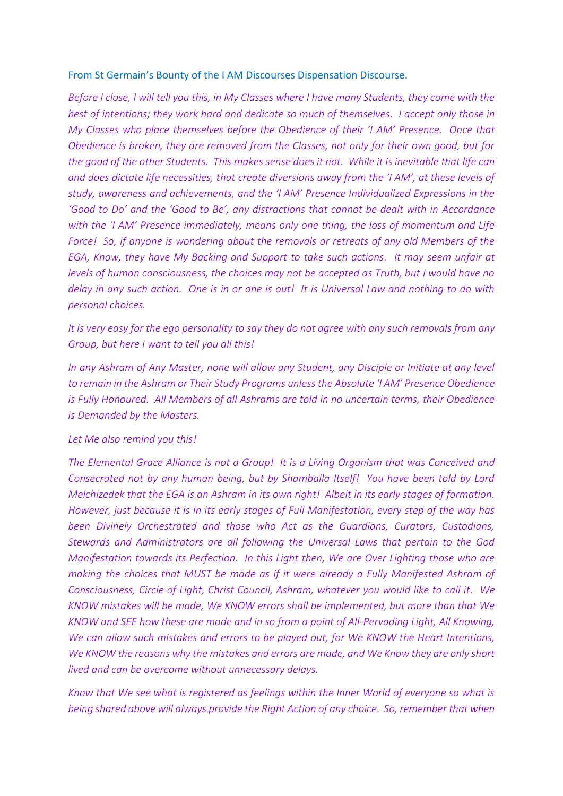#### From St Germain's Bounty of the I AM Discourses Dispensation Discourse.

*Before I close, I will tell you this, in My Classes where I have many Students, they come with the best of intentions; they work hard and dedicate so much of themselves. I accept only those in My Classes who place themselves before the Obedience of their 'I AM' Presence. Once that Obedience is broken, they are removed from the Classes, not only for their own good, but for the good of the other Students. This makes sense does it not. While it is inevitable that life can and does dictate life necessities, that create diversions away from the 'I AM', at these levels of study, awareness and achievements, and the 'I AM' Presence Individualized Expressions in the 'Good to Do' and the 'Good to Be', any distractions that cannot be dealt with in Accordance with the 'I AM' Presence immediately, means only one thing, the loss of momentum and Life Force! So, if anyone is wondering about the removals or retreats of any old Members of the EGA, Know, they have My Backing and Support to take such actions. It may seem unfair at levels of human consciousness, the choices may not be accepted as Truth, but I would have no delay in any such action. One is in or one is out! It is Universal Law and nothing to do with personal choices.*

*It is very easy for the ego personality to say they do not agree with any such removals from any Group, but here I want to tell you all this!*

*In any Ashram of Any Master, none will allow any Student, any Disciple or Initiate at any level to remain in the Ashram or Their Study Programs unless the Absolute 'I AM' Presence Obedience is Fully Honoured. All Members of all Ashrams are told in no uncertain terms, their Obedience is Demanded by the Masters.*

#### *Let Me also remind you this!*

*The Elemental Grace Alliance is not a Group! It is a Living Organism that was Conceived and Consecrated not by any human being, but by Shamballa Itself! You have been told by Lord Melchizedek that the EGA is an Ashram in its own right! Albeit in its early stages of formation. However, just because it is in its early stages of Full Manifestation, every step of the way has been Divinely Orchestrated and those who Act as the Guardians, Curators, Custodians, Stewards and Administrators are all following the Universal Laws that pertain to the God Manifestation towards its Perfection. In this Light then, We are Over Lighting those who are making the choices that MUST be made as if it were already a Fully Manifested Ashram of Consciousness, Circle of Light, Christ Council, Ashram, whatever you would like to call it. We KNOW mistakes will be made, We KNOW errors shall be implemented, but more than that We KNOW and SEE how these are made and in so from a point of All-Pervading Light, All Knowing, We can allow such mistakes and errors to be played out, for We KNOW the Heart Intentions, We KNOW the reasons why the mistakes and errors are made, and We Know they are only short lived and can be overcome without unnecessary delays.*

*Know that We see what is registered as feelings within the Inner World of everyone so what is being shared above will always provide the Right Action of any choice. So, remember that when*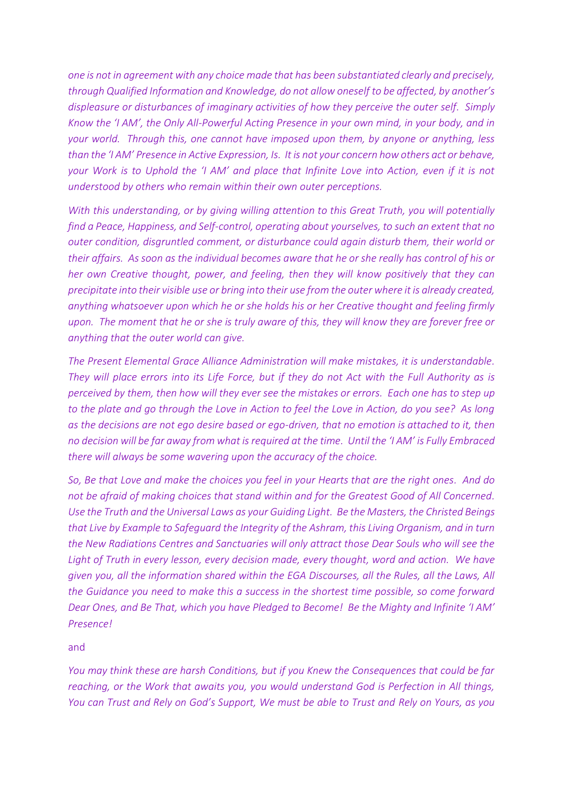*one is not in agreement with any choice made that has been substantiated clearly and precisely, through Qualified Information and Knowledge, do not allow oneself to be affected, by another's displeasure or disturbances of imaginary activities of how they perceive the outer self. Simply Know the 'I AM', the Only All-Powerful Acting Presence in your own mind, in your body, and in your world. Through this, one cannot have imposed upon them, by anyone or anything, less than the 'I AM' Presence in Active Expression, Is. It is not your concern how others act or behave, your Work is to Uphold the 'I AM' and place that Infinite Love into Action, even if it is not understood by others who remain within their own outer perceptions.*

*With this understanding, or by giving willing attention to this Great Truth, you will potentially find a Peace, Happiness, and Self-control, operating about yourselves, to such an extent that no outer condition, disgruntled comment, or disturbance could again disturb them, their world or their affairs. As soon as the individual becomes aware that he or she really has control of his or her own Creative thought, power, and feeling, then they will know positively that they can precipitate into their visible use or bring into their use from the outer where it is already created, anything whatsoever upon which he or she holds his or her Creative thought and feeling firmly upon. The moment that he or she is truly aware of this, they will know they are forever free or anything that the outer world can give.*

*The Present Elemental Grace Alliance Administration will make mistakes, it is understandable. They will place errors into its Life Force, but if they do not Act with the Full Authority as is perceived by them, then how will they ever see the mistakes or errors. Each one has to step up to the plate and go through the Love in Action to feel the Love in Action, do you see? As long as the decisions are not ego desire based or ego-driven, that no emotion is attached to it, then no decision will be far away from what is required at the time. Until the 'I AM' is Fully Embraced there will always be some wavering upon the accuracy of the choice.*

*So, Be that Love and make the choices you feel in your Hearts that are the right ones. And do not be afraid of making choices that stand within and for the Greatest Good of All Concerned. Use the Truth and the Universal Laws as your Guiding Light. Be the Masters, the Christed Beings that Live by Example to Safeguard the Integrity of the Ashram, this Living Organism, and in turn the New Radiations Centres and Sanctuaries will only attract those Dear Souls who will see the Light of Truth in every lesson, every decision made, every thought, word and action. We have given you, all the information shared within the EGA Discourses, all the Rules, all the Laws, All the Guidance you need to make this a success in the shortest time possible, so come forward Dear Ones, and Be That, which you have Pledged to Become! Be the Mighty and Infinite 'I AM' Presence!* 

and

*You may think these are harsh Conditions, but if you Knew the Consequences that could be far reaching, or the Work that awaits you, you would understand God is Perfection in All things, You can Trust and Rely on God's Support, We must be able to Trust and Rely on Yours, as you*